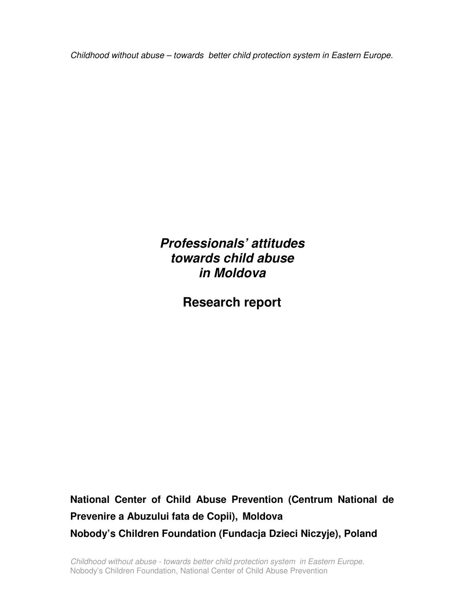Childhood without abuse – towards better child protection system in Eastern Europe.

**Professionals' attitudes towards child abuse in Moldova** 

**Research report** 

**National Center of Child Abuse Prevention (Centrum National de Prevenire a Abuzului fata de Copii), Moldova Nobody's Children Foundation (Fundacja Dzieci Niczyje), Poland** 

Childhood without abuse - towards better child protection system in Eastern Europe. Nobody's Children Foundation, National Center of Child Abuse Prevention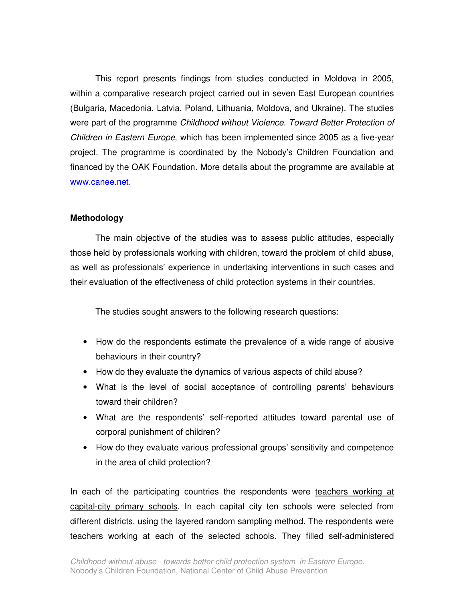This report presents findings from studies conducted in Moldova in 2005, within a comparative research project carried out in seven East European countries (Bulgaria, Macedonia, Latvia, Poland, Lithuania, Moldova, and Ukraine). The studies were part of the programme Childhood without Violence. Toward Better Protection of Children in Eastern Europe, which has been implemented since 2005 as a five-year project. The programme is coordinated by the Nobody's Children Foundation and financed by the OAK Foundation. More details about the programme are available at www.canee.net.

#### **Methodology**

The main objective of the studies was to assess public attitudes, especially those held by professionals working with children, toward the problem of child abuse, as well as professionals' experience in undertaking interventions in such cases and their evaluation of the effectiveness of child protection systems in their countries.

The studies sought answers to the following research questions:

- How do the respondents estimate the prevalence of a wide range of abusive behaviours in their country?
- How do they evaluate the dynamics of various aspects of child abuse?
- What is the level of social acceptance of controlling parents' behaviours toward their children?
- What are the respondents' self-reported attitudes toward parental use of corporal punishment of children?
- How do they evaluate various professional groups' sensitivity and competence in the area of child protection?

In each of the participating countries the respondents were teachers working at capital-city primary schools. In each capital city ten schools were selected from different districts, using the layered random sampling method. The respondents were teachers working at each of the selected schools. They filled self-administered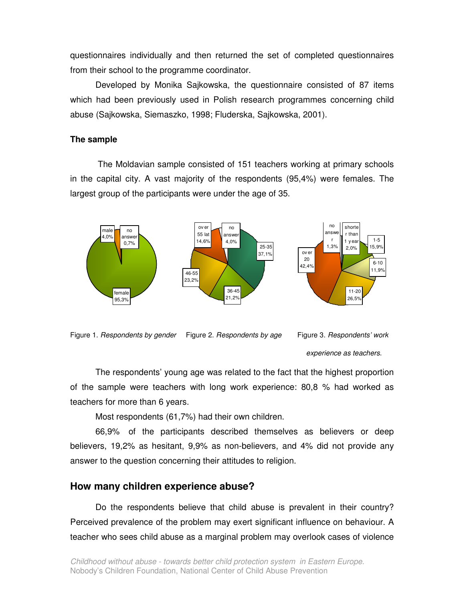questionnaires individually and then returned the set of completed questionnaires from their school to the programme coordinator.

Developed by Monika Sajkowska, the questionnaire consisted of 87 items which had been previously used in Polish research programmes concerning child abuse (Sajkowska, Siemaszko, 1998; Fluderska, Sajkowska, 2001).

#### **The sample**

 The Moldavian sample consisted of 151 teachers working at primary schools in the capital city. A vast majority of the respondents (95,4%) were females. The largest group of the participants were under the age of 35.





experience as teachers.

The respondents' young age was related to the fact that the highest proportion of the sample were teachers with long work experience: 80,8 % had worked as teachers for more than 6 years.

Most respondents (61,7%) had their own children.

66,9% of the participants described themselves as believers or deep believers, 19,2% as hesitant, 9,9% as non-believers, and 4% did not provide any answer to the question concerning their attitudes to religion.

### **How many children experience abuse?**

Do the respondents believe that child abuse is prevalent in their country? Perceived prevalence of the problem may exert significant influence on behaviour. A teacher who sees child abuse as a marginal problem may overlook cases of violence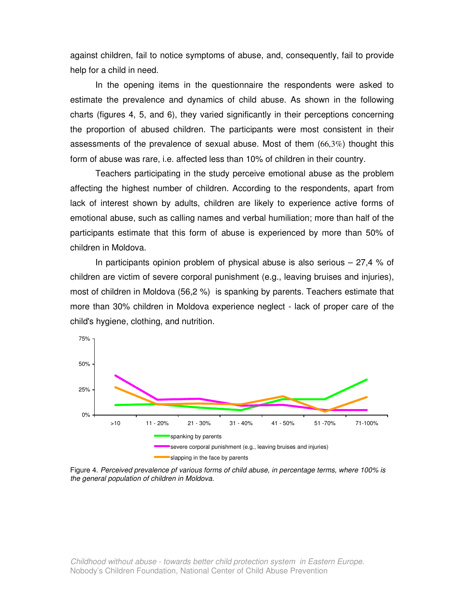against children, fail to notice symptoms of abuse, and, consequently, fail to provide help for a child in need.

 In the opening items in the questionnaire the respondents were asked to estimate the prevalence and dynamics of child abuse. As shown in the following charts (figures 4, 5, and 6), they varied significantly in their perceptions concerning the proportion of abused children. The participants were most consistent in their assessments of the prevalence of sexual abuse. Most of them (66,3%) thought this form of abuse was rare, i.e. affected less than 10% of children in their country.

Teachers participating in the study perceive emotional abuse as the problem affecting the highest number of children. According to the respondents, apart from lack of interest shown by adults, children are likely to experience active forms of emotional abuse, such as calling names and verbal humiliation; more than half of the participants estimate that this form of abuse is experienced by more than 50% of children in Moldova.

In participants opinion problem of physical abuse is also serious  $-27.4$  % of children are victim of severe corporal punishment (e.g., leaving bruises and injuries), most of children in Moldova (56,2 %) is spanking by parents. Teachers estimate that more than 30% children in Moldova experience neglect - lack of proper care of the child's hygiene, clothing, and nutrition.



Figure 4. Perceived prevalence pf various forms of child abuse, in percentage terms, where 100% is the general population of children in Moldova.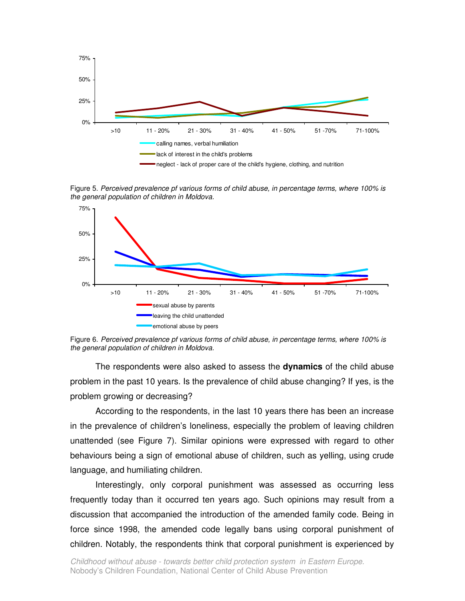

Figure 5. Perceived prevalence pf various forms of child abuse, in percentage terms, where 100% is the general population of children in Moldova.



Figure 6. Perceived prevalence pf various forms of child abuse, in percentage terms, where 100% is the general population of children in Moldova.

The respondents were also asked to assess the **dynamics** of the child abuse problem in the past 10 years. Is the prevalence of child abuse changing? If yes, is the problem growing or decreasing?

According to the respondents, in the last 10 years there has been an increase in the prevalence of children's loneliness, especially the problem of leaving children unattended (see Figure 7). Similar opinions were expressed with regard to other behaviours being a sign of emotional abuse of children, such as yelling, using crude language, and humiliating children.

Interestingly, only corporal punishment was assessed as occurring less frequently today than it occurred ten years ago. Such opinions may result from a discussion that accompanied the introduction of the amended family code. Being in force since 1998, the amended code legally bans using corporal punishment of children. Notably, the respondents think that corporal punishment is experienced by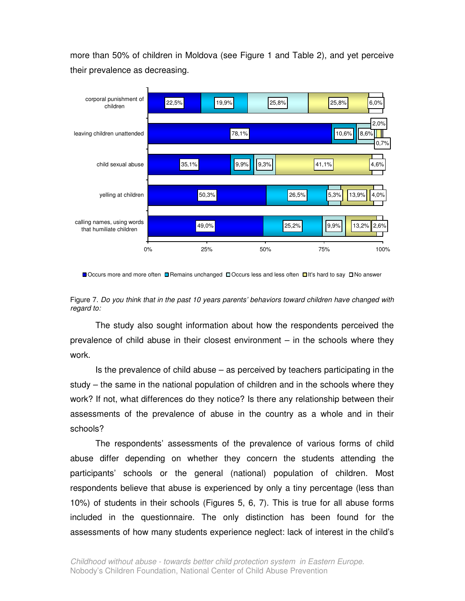more than 50% of children in Moldova (see Figure 1 and Table 2), and yet perceive their prevalence as decreasing.



■ Occurs more and more often ■ Remains unchanged □ Occurs less and less often □ It's hard to say □ No answer

Figure 7. Do you think that in the past 10 years parents' behaviors toward children have changed with regard to:

The study also sought information about how the respondents perceived the prevalence of child abuse in their closest environment – in the schools where they work.

Is the prevalence of child abuse – as perceived by teachers participating in the study – the same in the national population of children and in the schools where they work? If not, what differences do they notice? Is there any relationship between their assessments of the prevalence of abuse in the country as a whole and in their schools?

The respondents' assessments of the prevalence of various forms of child abuse differ depending on whether they concern the students attending the participants' schools or the general (national) population of children. Most respondents believe that abuse is experienced by only a tiny percentage (less than 10%) of students in their schools (Figures 5, 6, 7). This is true for all abuse forms included in the questionnaire. The only distinction has been found for the assessments of how many students experience neglect: lack of interest in the child's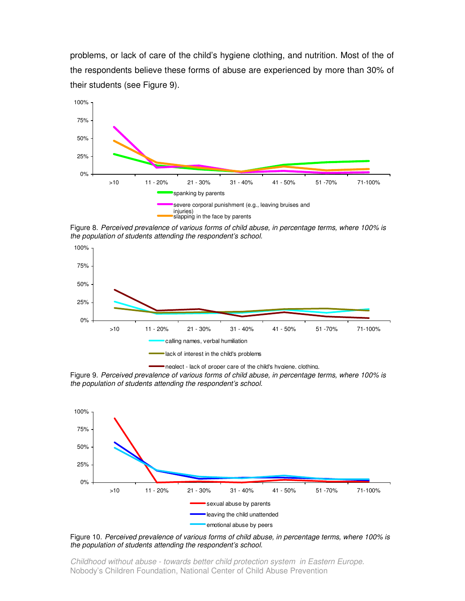problems, or lack of care of the child's hygiene clothing, and nutrition. Most of the of the respondents believe these forms of abuse are experienced by more than 30% of their students (see Figure 9).



Figure 8. Perceived prevalence of various forms of child abuse, in percentage terms, where 100% is the population of students attending the respondent's school.



nealect - lack of proper care of the child's hvaiene, clothing,

Figure 9. Perceived prevalence of various forms of child abuse, in percentage terms, where 100% is the population of students attending the respondent's school.



Figure 10. Perceived prevalence of various forms of child abuse, in percentage terms, where 100% is the population of students attending the respondent's school.

Childhood without abuse - towards better child protection system in Eastern Europe. Nobody's Children Foundation, National Center of Child Abuse Prevention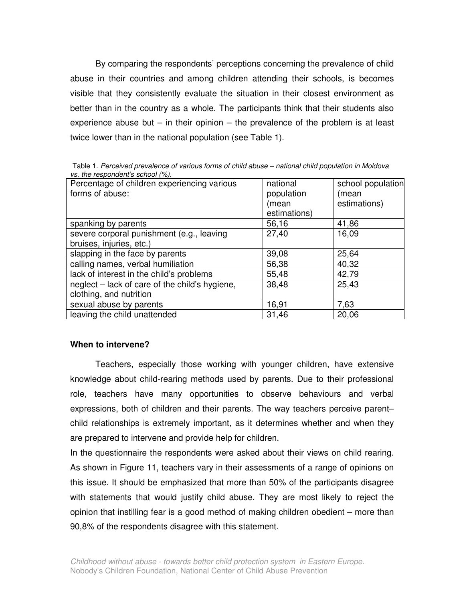By comparing the respondents' perceptions concerning the prevalence of child abuse in their countries and among children attending their schools, is becomes visible that they consistently evaluate the situation in their closest environment as better than in the country as a whole. The participants think that their students also experience abuse but  $-$  in their opinion  $-$  the prevalence of the problem is at least twice lower than in the national population (see Table 1).

| Percentage of children experiencing various    | national     | school population |
|------------------------------------------------|--------------|-------------------|
| forms of abuse:                                | population   | (mean             |
|                                                | (mean        | estimations)      |
|                                                | estimations) |                   |
| spanking by parents                            | 56,16        | 41,86             |
| severe corporal punishment (e.g., leaving      | 27,40        | 16,09             |
| bruises, injuries, etc.)                       |              |                   |
| slapping in the face by parents                | 39,08        | 25,64             |
| calling names, verbal humiliation              | 56,38        | 40,32             |
| lack of interest in the child's problems       | 55,48        | 42,79             |
| neglect – lack of care of the child's hygiene, | 38,48        | 25,43             |
| clothing, and nutrition                        |              |                   |
| sexual abuse by parents                        | 16,91        | 7,63              |
| leaving the child unattended                   | 31,46        | 20,06             |

Table 1. Perceived prevalence of various forms of child abuse – national child population in Moldova vs. the respondent's school (%).

# **When to intervene?**

Teachers, especially those working with younger children, have extensive knowledge about child-rearing methods used by parents. Due to their professional role, teachers have many opportunities to observe behaviours and verbal expressions, both of children and their parents. The way teachers perceive parent– child relationships is extremely important, as it determines whether and when they are prepared to intervene and provide help for children.

In the questionnaire the respondents were asked about their views on child rearing. As shown in Figure 11, teachers vary in their assessments of a range of opinions on this issue. It should be emphasized that more than 50% of the participants disagree with statements that would justify child abuse. They are most likely to reject the opinion that instilling fear is a good method of making children obedient – more than 90,8% of the respondents disagree with this statement.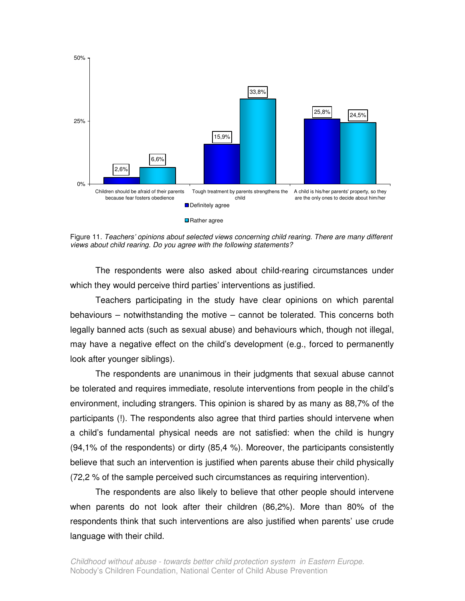

Figure 11. Teachers' opinions about selected views concerning child rearing. There are many different views about child rearing. Do you agree with the following statements?

The respondents were also asked about child-rearing circumstances under which they would perceive third parties' interventions as justified.

Teachers participating in the study have clear opinions on which parental behaviours – notwithstanding the motive – cannot be tolerated. This concerns both legally banned acts (such as sexual abuse) and behaviours which, though not illegal, may have a negative effect on the child's development (e.g., forced to permanently look after younger siblings).

The respondents are unanimous in their judgments that sexual abuse cannot be tolerated and requires immediate, resolute interventions from people in the child's environment, including strangers. This opinion is shared by as many as 88,7% of the participants (!). The respondents also agree that third parties should intervene when a child's fundamental physical needs are not satisfied: when the child is hungry (94,1% of the respondents) or dirty (85,4 %). Moreover, the participants consistently believe that such an intervention is justified when parents abuse their child physically (72,2 % of the sample perceived such circumstances as requiring intervention).

The respondents are also likely to believe that other people should intervene when parents do not look after their children (86,2%). More than 80% of the respondents think that such interventions are also justified when parents' use crude language with their child.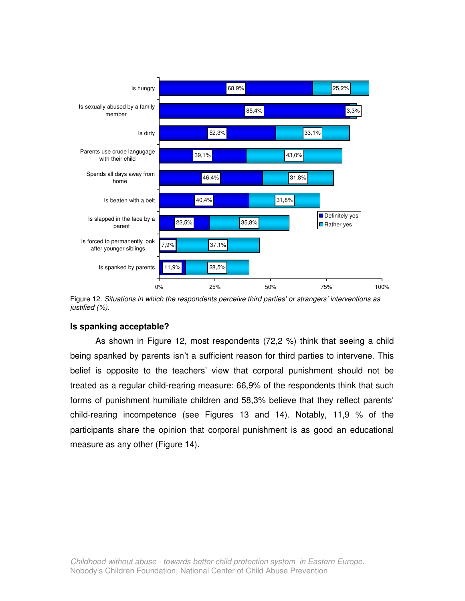

Figure 12. Situations in which the respondents perceive third parties' or strangers' interventions as justified (%).

## **Is spanking acceptable?**

As shown in Figure 12, most respondents (72,2 %) think that seeing a child being spanked by parents isn't a sufficient reason for third parties to intervene. This belief is opposite to the teachers' view that corporal punishment should not be treated as a regular child-rearing measure: 66,9% of the respondents think that such forms of punishment humiliate children and 58,3% believe that they reflect parents' child-rearing incompetence (see Figures 13 and 14). Notably, 11,9 % of the participants share the opinion that corporal punishment is as good an educational measure as any other (Figure 14).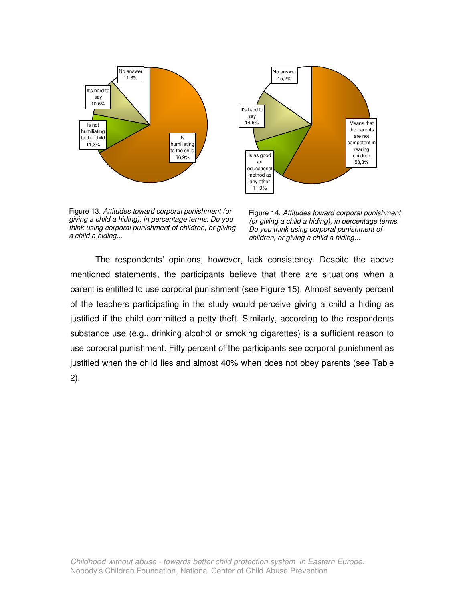



Figure 13. Attitudes toward corporal punishment (or giving a child a hiding), in percentage terms. Do you think using corporal punishment of children, or giving a child a hiding...

Figure 14. Attitudes toward corporal punishment (or giving a child a hiding), in percentage terms. Do you think using corporal punishment of children, or giving a child a hiding...

The respondents' opinions, however, lack consistency. Despite the above mentioned statements, the participants believe that there are situations when a parent is entitled to use corporal punishment (see Figure 15). Almost seventy percent of the teachers participating in the study would perceive giving a child a hiding as justified if the child committed a petty theft. Similarly, according to the respondents substance use (e.g., drinking alcohol or smoking cigarettes) is a sufficient reason to use corporal punishment. Fifty percent of the participants see corporal punishment as justified when the child lies and almost 40% when does not obey parents (see Table 2).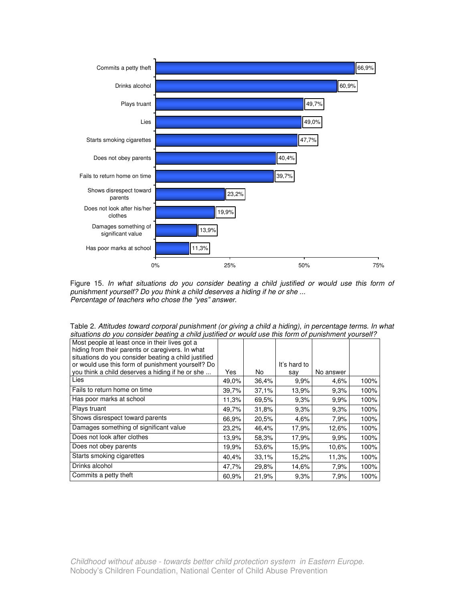

Figure 15. In what situations do you consider beating a child justified or would use this form of punishment yourself? Do you think a child deserves a hiding if he or she ... Percentage of teachers who chose the "yes" answer.

| situations ad you consider beating a critic justined or would use this form or pumshment yourself : |       |       |              |           |      |
|-----------------------------------------------------------------------------------------------------|-------|-------|--------------|-----------|------|
| Most people at least once in their lives got a                                                      |       |       |              |           |      |
| hiding from their parents or caregivers. In what                                                    |       |       |              |           |      |
| situations do you consider beating a child justified                                                |       |       |              |           |      |
| or would use this form of punishment yourself? Do                                                   |       |       | It's hard to |           |      |
| you think a child deserves a hiding if he or she                                                    | Yes   | No    | say          | No answer |      |
| Lies                                                                                                | 49,0% | 36,4% | 9.9%         | 4.6%      | 100% |
| Fails to return home on time                                                                        | 39,7% | 37.1% | 13.9%        | 9.3%      | 100% |
| Has poor marks at school                                                                            | 11.3% | 69.5% | 9.3%         | 9,9%      | 100% |
| Plays truant                                                                                        | 49,7% | 31,8% | 9,3%         | 9,3%      | 100% |
| Shows disrespect toward parents                                                                     | 66.9% | 20,5% | 4,6%         | 7,9%      | 100% |
| Damages something of significant value                                                              | 23,2% | 46,4% | 17.9%        | 12,6%     | 100% |
| Does not look after clothes                                                                         | 13.9% | 58,3% | 17.9%        | 9,9%      | 100% |
| Does not obey parents                                                                               | 19.9% | 53,6% | 15.9%        | 10.6%     | 100% |
| Starts smoking cigarettes                                                                           | 40,4% | 33,1% | 15,2%        | 11,3%     | 100% |
| Drinks alcohol                                                                                      | 47,7% | 29,8% | 14.6%        | 7,9%      | 100% |
| Commits a petty theft                                                                               | 60.9% | 21,9% | 9.3%         | 7,9%      | 100% |

Table 2. Attitudes toward corporal punishment (or giving a child a hiding), in percentage terms. In what situations do you consider beating a child justified or would use this form of punishment yourself?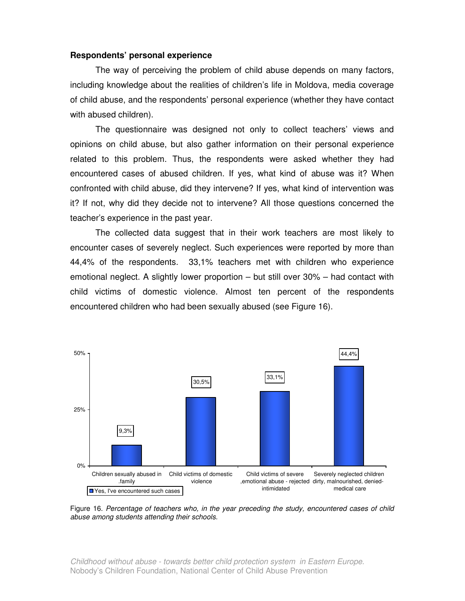#### **Respondents' personal experience**

The way of perceiving the problem of child abuse depends on many factors, including knowledge about the realities of children's life in Moldova, media coverage of child abuse, and the respondents' personal experience (whether they have contact with abused children).

The questionnaire was designed not only to collect teachers' views and opinions on child abuse, but also gather information on their personal experience related to this problem. Thus, the respondents were asked whether they had encountered cases of abused children. If yes, what kind of abuse was it? When confronted with child abuse, did they intervene? If yes, what kind of intervention was it? If not, why did they decide not to intervene? All those questions concerned the teacher's experience in the past year.

The collected data suggest that in their work teachers are most likely to encounter cases of severely neglect. Such experiences were reported by more than 44,4% of the respondents. 33,1% teachers met with children who experience emotional neglect. A slightly lower proportion – but still over 30% – had contact with child victims of domestic violence. Almost ten percent of the respondents encountered children who had been sexually abused (see Figure 16).



Figure 16. Percentage of teachers who, in the year preceding the study, encountered cases of child abuse among students attending their schools.

Childhood without abuse - towards better child protection system in Eastern Europe. Nobody's Children Foundation, National Center of Child Abuse Prevention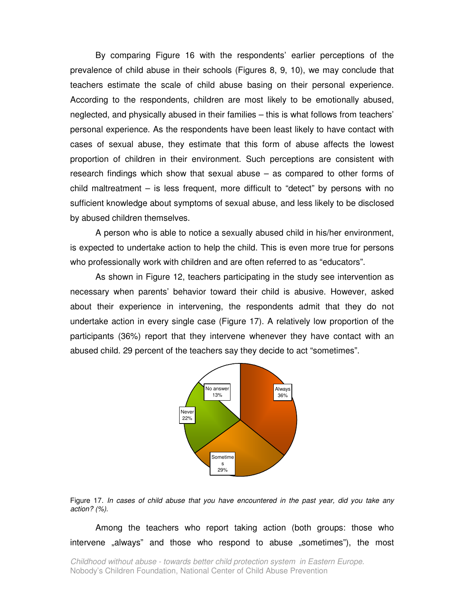By comparing Figure 16 with the respondents' earlier perceptions of the prevalence of child abuse in their schools (Figures 8, 9, 10), we may conclude that teachers estimate the scale of child abuse basing on their personal experience. According to the respondents, children are most likely to be emotionally abused, neglected, and physically abused in their families – this is what follows from teachers' personal experience. As the respondents have been least likely to have contact with cases of sexual abuse, they estimate that this form of abuse affects the lowest proportion of children in their environment. Such perceptions are consistent with research findings which show that sexual abuse – as compared to other forms of child maltreatment – is less frequent, more difficult to "detect" by persons with no sufficient knowledge about symptoms of sexual abuse, and less likely to be disclosed by abused children themselves.

A person who is able to notice a sexually abused child in his/her environment, is expected to undertake action to help the child. This is even more true for persons who professionally work with children and are often referred to as "educators".

 As shown in Figure 12, teachers participating in the study see intervention as necessary when parents' behavior toward their child is abusive. However, asked about their experience in intervening, the respondents admit that they do not undertake action in every single case (Figure 17). A relatively low proportion of the participants (36%) report that they intervene whenever they have contact with an abused child. 29 percent of the teachers say they decide to act "sometimes".



Figure 17. In cases of child abuse that you have encountered in the past year, did you take any action? (%).

Among the teachers who report taking action (both groups: those who intervene "always" and those who respond to abuse "sometimes"), the most

Childhood without abuse - towards better child protection system in Eastern Europe. Nobody's Children Foundation, National Center of Child Abuse Prevention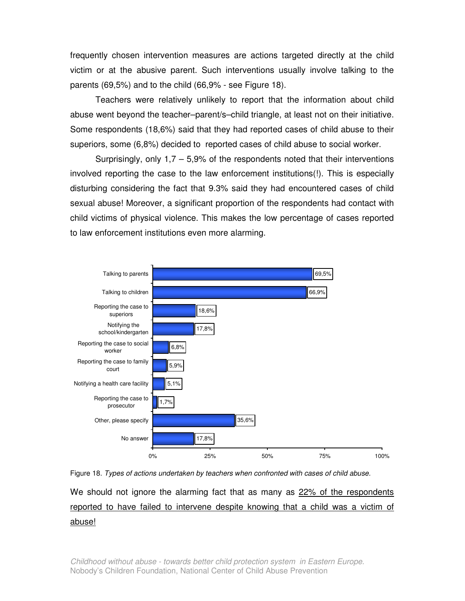frequently chosen intervention measures are actions targeted directly at the child victim or at the abusive parent. Such interventions usually involve talking to the parents (69,5%) and to the child (66,9% - see Figure 18).

Teachers were relatively unlikely to report that the information about child abuse went beyond the teacher–parent/s–child triangle, at least not on their initiative. Some respondents (18,6%) said that they had reported cases of child abuse to their superiors, some (6,8%) decided to reported cases of child abuse to social worker.

Surprisingly, only  $1,7 - 5,9\%$  of the respondents noted that their interventions involved reporting the case to the law enforcement institutions(!). This is especially disturbing considering the fact that 9.3% said they had encountered cases of child sexual abuse! Moreover, a significant proportion of the respondents had contact with child victims of physical violence. This makes the low percentage of cases reported to law enforcement institutions even more alarming.



Figure 18. Types of actions undertaken by teachers when confronted with cases of child abuse.

We should not ignore the alarming fact that as many as 22% of the respondents reported to have failed to intervene despite knowing that a child was a victim of abuse!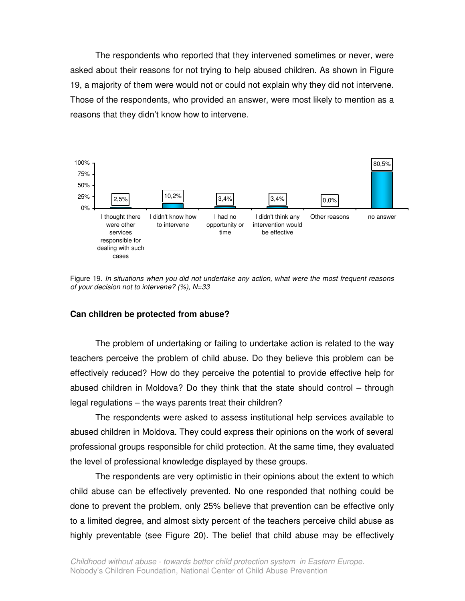The respondents who reported that they intervened sometimes or never, were asked about their reasons for not trying to help abused children. As shown in Figure 19, a majority of them were would not or could not explain why they did not intervene. Those of the respondents, who provided an answer, were most likely to mention as a reasons that they didn't know how to intervene.



Figure 19. In situations when you did not undertake any action, what were the most frequent reasons of your decision not to intervene? (%), N=33

#### **Can children be protected from abuse?**

The problem of undertaking or failing to undertake action is related to the way teachers perceive the problem of child abuse. Do they believe this problem can be effectively reduced? How do they perceive the potential to provide effective help for abused children in Moldova? Do they think that the state should control – through legal regulations – the ways parents treat their children?

The respondents were asked to assess institutional help services available to abused children in Moldova. They could express their opinions on the work of several professional groups responsible for child protection. At the same time, they evaluated the level of professional knowledge displayed by these groups.

The respondents are very optimistic in their opinions about the extent to which child abuse can be effectively prevented. No one responded that nothing could be done to prevent the problem, only 25% believe that prevention can be effective only to a limited degree, and almost sixty percent of the teachers perceive child abuse as highly preventable (see Figure 20). The belief that child abuse may be effectively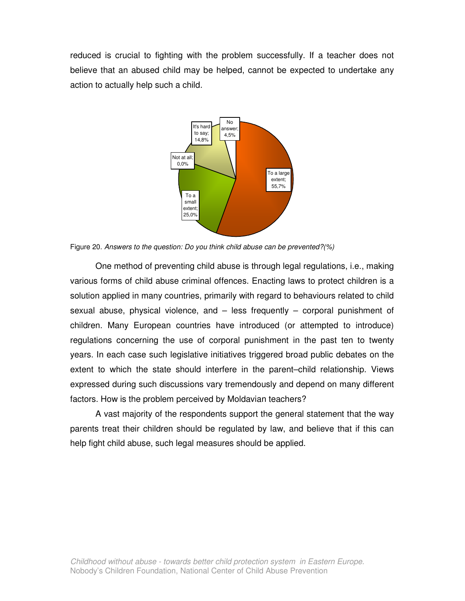reduced is crucial to fighting with the problem successfully. If a teacher does not believe that an abused child may be helped, cannot be expected to undertake any action to actually help such a child.



Figure 20. Answers to the question: Do you think child abuse can be prevented?(%)

One method of preventing child abuse is through legal regulations, i.e., making various forms of child abuse criminal offences. Enacting laws to protect children is a solution applied in many countries, primarily with regard to behaviours related to child sexual abuse, physical violence, and – less frequently – corporal punishment of children. Many European countries have introduced (or attempted to introduce) regulations concerning the use of corporal punishment in the past ten to twenty years. In each case such legislative initiatives triggered broad public debates on the extent to which the state should interfere in the parent–child relationship. Views expressed during such discussions vary tremendously and depend on many different factors. How is the problem perceived by Moldavian teachers?

A vast majority of the respondents support the general statement that the way parents treat their children should be regulated by law, and believe that if this can help fight child abuse, such legal measures should be applied.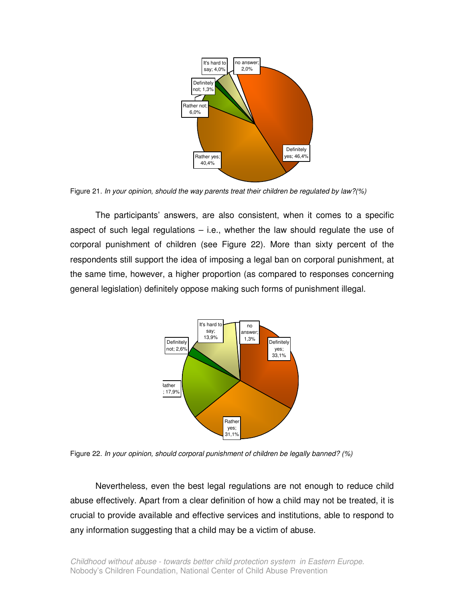

Figure 21. In your opinion, should the way parents treat their children be regulated by law?(%)

The participants' answers, are also consistent, when it comes to a specific aspect of such legal regulations  $-$  i.e., whether the law should regulate the use of corporal punishment of children (see Figure 22). More than sixty percent of the respondents still support the idea of imposing a legal ban on corporal punishment, at the same time, however, a higher proportion (as compared to responses concerning general legislation) definitely oppose making such forms of punishment illegal.



Figure 22. In your opinion, should corporal punishment of children be legally banned? (%)

Nevertheless, even the best legal regulations are not enough to reduce child abuse effectively. Apart from a clear definition of how a child may not be treated, it is crucial to provide available and effective services and institutions, able to respond to any information suggesting that a child may be a victim of abuse.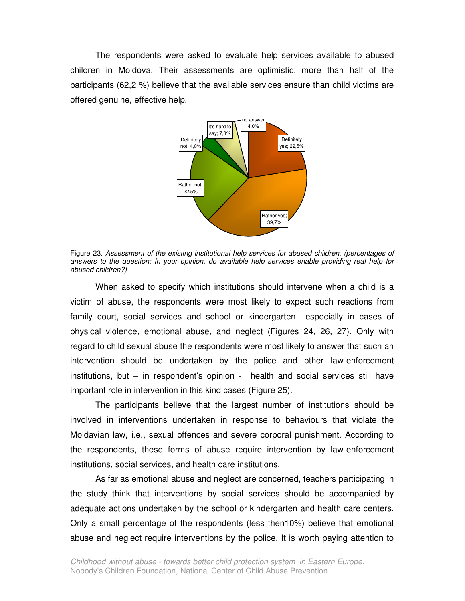The respondents were asked to evaluate help services available to abused children in Moldova. Their assessments are optimistic: more than half of the participants (62,2 %) believe that the available services ensure than child victims are offered genuine, effective help.



Figure 23. Assessment of the existing institutional help services for abused children. (percentages of answers to the question: In your opinion, do available help services enable providing real help for abused children?)

When asked to specify which institutions should intervene when a child is a victim of abuse, the respondents were most likely to expect such reactions from family court, social services and school or kindergarten– especially in cases of physical violence, emotional abuse, and neglect (Figures 24, 26, 27). Only with regard to child sexual abuse the respondents were most likely to answer that such an intervention should be undertaken by the police and other law-enforcement institutions, but – in respondent's opinion - health and social services still have important role in intervention in this kind cases (Figure 25).

The participants believe that the largest number of institutions should be involved in interventions undertaken in response to behaviours that violate the Moldavian law, i.e., sexual offences and severe corporal punishment. According to the respondents, these forms of abuse require intervention by law-enforcement institutions, social services, and health care institutions.

As far as emotional abuse and neglect are concerned, teachers participating in the study think that interventions by social services should be accompanied by adequate actions undertaken by the school or kindergarten and health care centers. Only a small percentage of the respondents (less then10%) believe that emotional abuse and neglect require interventions by the police. It is worth paying attention to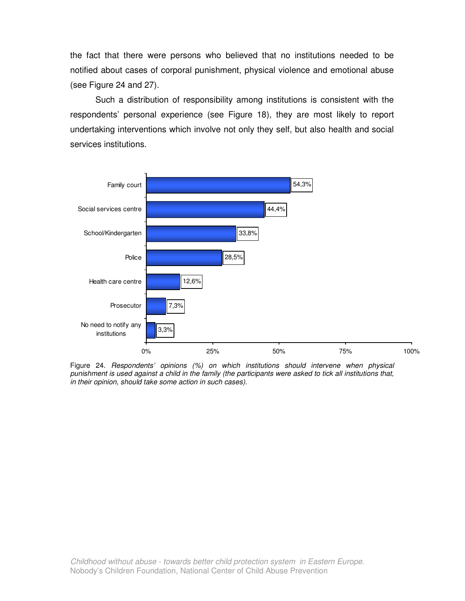the fact that there were persons who believed that no institutions needed to be notified about cases of corporal punishment, physical violence and emotional abuse (see Figure 24 and 27).

Such a distribution of responsibility among institutions is consistent with the respondents' personal experience (see Figure 18), they are most likely to report undertaking interventions which involve not only they self, but also health and social services institutions.



Figure 24. Respondents' opinions (%) on which institutions should intervene when physical punishment is used against a child in the family (the participants were asked to tick all institutions that, in their opinion, should take some action in such cases).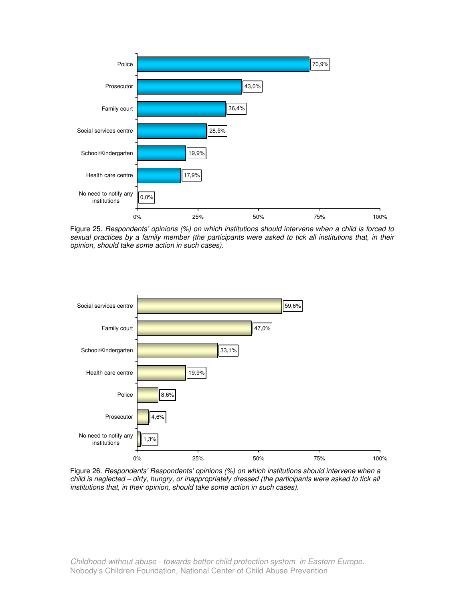

Figure 25. Respondents' opinions (%) on which institutions should intervene when a child is forced to sexual practices by a family member (the participants were asked to tick all institutions that, in their opinion, should take some action in such cases).



Figure 26. Respondents' Respondents' opinions (%) on which institutions should intervene when a child is neglected – dirty, hungry, or inappropriately dressed (the participants were asked to tick all institutions that, in their opinion, should take some action in such cases).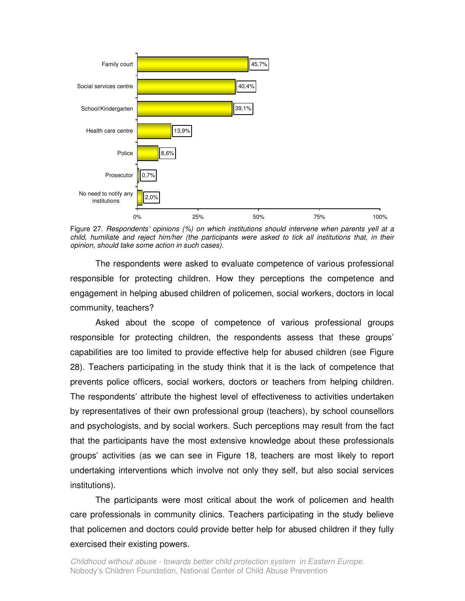

Figure 27. Respondents' opinions (%) on which institutions should intervene when parents yell at a child, humiliate and reject him/her (the participants were asked to tick all institutions that, in their opinion, should take some action in such cases).

The respondents were asked to evaluate competence of various professional responsible for protecting children. How they perceptions the competence and engagement in helping abused children of policemen, social workers, doctors in local community, teachers?

Asked about the scope of competence of various professional groups responsible for protecting children, the respondents assess that these groups' capabilities are too limited to provide effective help for abused children (see Figure 28). Teachers participating in the study think that it is the lack of competence that prevents police officers, social workers, doctors or teachers from helping children. The respondents' attribute the highest level of effectiveness to activities undertaken by representatives of their own professional group (teachers), by school counsellors and psychologists, and by social workers. Such perceptions may result from the fact that the participants have the most extensive knowledge about these professionals groups' activities (as we can see in Figure 18, teachers are most likely to report undertaking interventions which involve not only they self, but also social services institutions).

The participants were most critical about the work of policemen and health care professionals in community clinics. Teachers participating in the study believe that policemen and doctors could provide better help for abused children if they fully exercised their existing powers.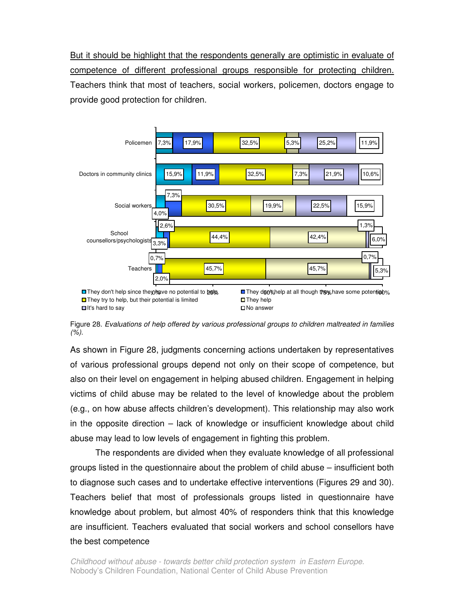But it should be highlight that the respondents generally are optimistic in evaluate of competence of different professional groups responsible for protecting children. Teachers think that most of teachers, social workers, policemen, doctors engage to provide good protection for children.



Figure 28. Evaluations of help offered by various professional groups to children maltreated in families  $(%).$ 

As shown in Figure 28, judgments concerning actions undertaken by representatives of various professional groups depend not only on their scope of competence, but also on their level on engagement in helping abused children. Engagement in helping victims of child abuse may be related to the level of knowledge about the problem (e.g., on how abuse affects children's development). This relationship may also work in the opposite direction – lack of knowledge or insufficient knowledge about child abuse may lead to low levels of engagement in fighting this problem.

 The respondents are divided when they evaluate knowledge of all professional groups listed in the questionnaire about the problem of child abuse – insufficient both to diagnose such cases and to undertake effective interventions (Figures 29 and 30). Teachers belief that most of professionals groups listed in questionnaire have knowledge about problem, but almost 40% of responders think that this knowledge are insufficient. Teachers evaluated that social workers and school consellors have the best competence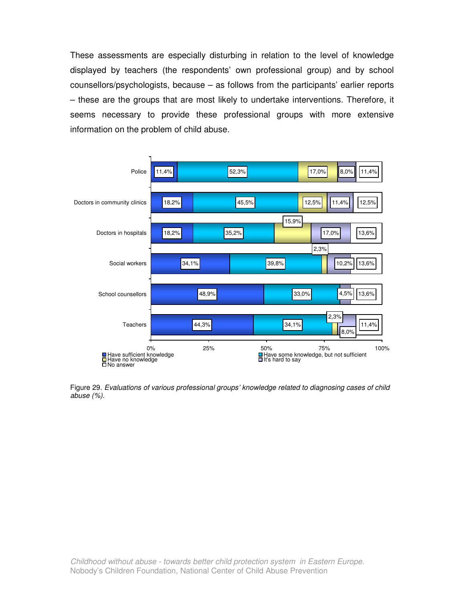These assessments are especially disturbing in relation to the level of knowledge displayed by teachers (the respondents' own professional group) and by school counsellors/psychologists, because – as follows from the participants' earlier reports – these are the groups that are most likely to undertake interventions. Therefore, it seems necessary to provide these professional groups with more extensive information on the problem of child abuse.



Figure 29. Evaluations of various professional groups' knowledge related to diagnosing cases of child abuse (%).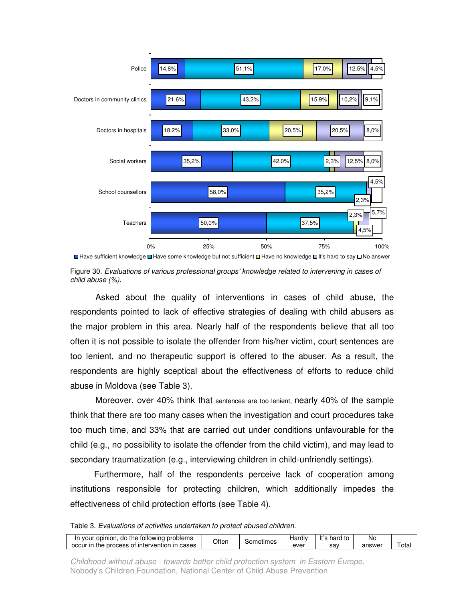

**<sup>■</sup>Have sufficient knowledge ■Have some knowledge but not sufficient ■Have no knowledge ■It's hard to say □No answer** 

 Asked about the quality of interventions in cases of child abuse, the respondents pointed to lack of effective strategies of dealing with child abusers as the major problem in this area. Nearly half of the respondents believe that all too often it is not possible to isolate the offender from his/her victim, court sentences are too lenient, and no therapeutic support is offered to the abuser. As a result, the respondents are highly sceptical about the effectiveness of efforts to reduce child abuse in Moldova (see Table 3).

 Moreover, over 40% think that sentences are too lenient, nearly 40% of the sample think that there are too many cases when the investigation and court procedures take too much time, and 33% that are carried out under conditions unfavourable for the child (e.g., no possibility to isolate the offender from the child victim), and may lead to secondary traumatization (e.g., interviewing children in child-unfriendly settings).

 Furthermore, half of the respondents perceive lack of cooperation among institutions responsible for protecting children, which additionally impedes the effectiveness of child protection efforts (see Table 4).

Table 3. Evaluations of activities undertaken to protect abused children.

| In your opinion, do the following problems    | Often | ടometimes | ⊣ardIv | hard to | No     |      |
|-----------------------------------------------|-------|-----------|--------|---------|--------|------|
| occur in the process of intervention in cases |       |           | ever   | sav     | answei | ™ota |

Childhood without abuse - towards better child protection system in Eastern Europe. Nobody's Children Foundation, National Center of Child Abuse Prevention

Figure 30. Evaluations of various professional groups' knowledge related to intervening in cases of child abuse (%).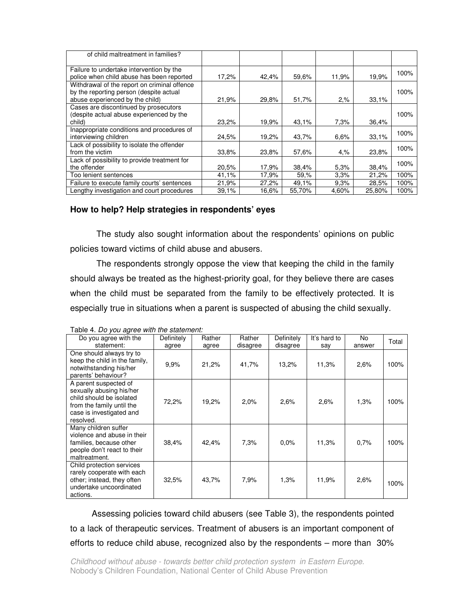| of child maltreatment in families?                                                                                         |       |       |        |         |        |      |
|----------------------------------------------------------------------------------------------------------------------------|-------|-------|--------|---------|--------|------|
| Failure to undertake intervention by the<br>police when child abuse has been reported                                      | 17,2% | 42,4% | 59,6%  | 11.9%   | 19,9%  | 100% |
| Withdrawal of the report on criminal offence<br>by the reporting person (despite actual<br>abuse experienced by the child) | 21,9% | 29,8% | 51,7%  | $2, \%$ | 33.1%  | 100% |
| Cases are discontinued by prosecutors<br>(despite actual abuse experienced by the<br>child)                                | 23,2% | 19,9% | 43,1%  | 7,3%    | 36.4%  | 100% |
| Inappropriate conditions and procedures of<br>interviewing children                                                        | 24.5% | 19,2% | 43,7%  | 6.6%    | 33.1%  | 100% |
| Lack of possibility to isolate the offender<br>from the victim                                                             | 33.8% | 23,8% | 57,6%  | $4, \%$ | 23.8%  | 100% |
| Lack of possibility to provide treatment for<br>the offender                                                               | 20.5% | 17,9% | 38,4%  | 5,3%    | 38,4%  | 100% |
| Too lenient sentences                                                                                                      | 41.1% | 17,9% | 59.%   | 3,3%    | 21.2%  | 100% |
| Failure to execute family courts' sentences                                                                                | 21,9% | 27,2% | 49,1%  | 9.3%    | 28.5%  | 100% |
| Lengthy investigation and court procedures                                                                                 | 39.1% | 16,6% | 55.70% | 4.60%   | 25,80% | 100% |

## **How to help? Help strategies in respondents' eyes**

 The study also sought information about the respondents' opinions on public policies toward victims of child abuse and abusers.

 The respondents strongly oppose the view that keeping the child in the family should always be treated as the highest-priority goal, for they believe there are cases when the child must be separated from the family to be effectively protected. It is especially true in situations when a parent is suspected of abusing the child sexually.

| $\frac{1}{1}$ able to be you agree with the statement.<br>Do you agree with the                                                                     | Definitely | Rather | Rather   | Definitely | It's hard to | No     | Total |
|-----------------------------------------------------------------------------------------------------------------------------------------------------|------------|--------|----------|------------|--------------|--------|-------|
| statement:                                                                                                                                          | agree      | agree  | disagree | disagree   | say          | answer |       |
| One should always try to<br>keep the child in the family,<br>notwithstanding his/her<br>parents' behaviour?                                         | 9,9%       | 21,2%  | 41,7%    | 13,2%      | 11,3%        | 2,6%   | 100%  |
| A parent suspected of<br>sexually abusing his/her<br>child should be isolated<br>from the family until the<br>case is investigated and<br>resolved. | 72,2%      | 19,2%  | $2.0\%$  | 2,6%       | 2.6%         | 1.3%   | 100%  |
| Many children suffer<br>violence and abuse in their<br>families, because other<br>people don't react to their<br>maltreatment.                      | 38,4%      | 42,4%  | 7.3%     | 0.0%       | 11,3%        | 0.7%   | 100%  |
| Child protection services<br>rarely cooperate with each<br>other; instead, they often<br>undertake uncoordinated<br>actions.                        | 32.5%      | 43,7%  | 7.9%     | 1,3%       | 11,9%        | 2,6%   | 100%  |

Table 4. Do you agree with the statement:

 Assessing policies toward child abusers (see Table 3), the respondents pointed to a lack of therapeutic services. Treatment of abusers is an important component of efforts to reduce child abuse, recognized also by the respondents – more than 30%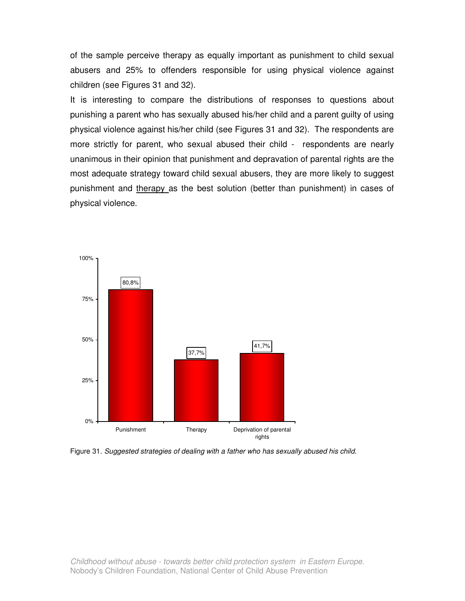of the sample perceive therapy as equally important as punishment to child sexual abusers and 25% to offenders responsible for using physical violence against children (see Figures 31 and 32).

It is interesting to compare the distributions of responses to questions about punishing a parent who has sexually abused his/her child and a parent guilty of using physical violence against his/her child (see Figures 31 and 32). The respondents are more strictly for parent, who sexual abused their child - respondents are nearly unanimous in their opinion that punishment and depravation of parental rights are the most adequate strategy toward child sexual abusers, they are more likely to suggest punishment and therapy as the best solution (better than punishment) in cases of physical violence.



Figure 31. Suggested strategies of dealing with a father who has sexually abused his child.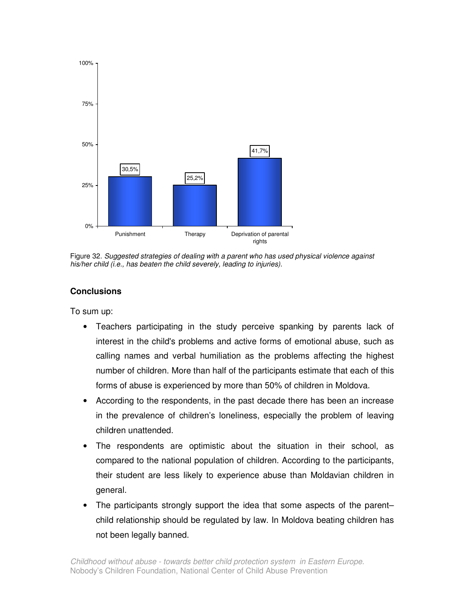

Figure 32. Suggested strategies of dealing with a parent who has used physical violence against his/her child (i.e., has beaten the child severely, leading to injuries).

## **Conclusions**

To sum up:

- Teachers participating in the study perceive spanking by parents lack of interest in the child's problems and active forms of emotional abuse, such as calling names and verbal humiliation as the problems affecting the highest number of children. More than half of the participants estimate that each of this forms of abuse is experienced by more than 50% of children in Moldova.
- According to the respondents, in the past decade there has been an increase in the prevalence of children's loneliness, especially the problem of leaving children unattended.
- The respondents are optimistic about the situation in their school, as compared to the national population of children. According to the participants, their student are less likely to experience abuse than Moldavian children in general.
- The participants strongly support the idea that some aspects of the parent– child relationship should be regulated by law. In Moldova beating children has not been legally banned.